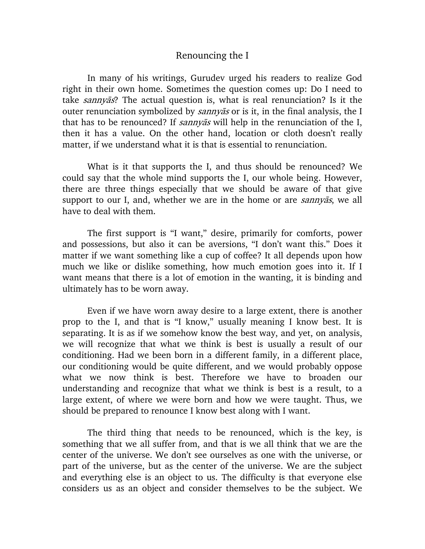## Renouncing the I

In many of his writings, Gurudev urged his readers to realize God right in their own home. Sometimes the question comes up: Do I need to take sannyas? The actual question is, what is real renunciation? Is it the outer renunciation symbolized by *sannyas* or is it, in the final analysis, the I that has to be renounced? If  $\sin y$  is will help in the renunciation of the I, then it has a value. On the other hand, location or cloth doesn't really matter, if we understand what it is that is essential to renunciation.

What is it that supports the I, and thus should be renounced? We could say that the whole mind supports the I, our whole being. However, there are three things especially that we should be aware of that give support to our I, and, whether we are in the home or are *sannyas*, we all have to deal with them.

The first support is "I want," desire, primarily for comforts, power and possessions, but also it can be aversions, "I don't want this." Does it matter if we want something like a cup of coffee? It all depends upon how much we like or dislike something, how much emotion goes into it. If I want means that there is a lot of emotion in the wanting, it is binding and ultimately has to be worn away.

Even if we have worn away desire to a large extent, there is another prop to the I, and that is "I know," usually meaning I know best. It is separating. It is as if we somehow know the best way, and yet, on analysis, we will recognize that what we think is best is usually a result of our conditioning. Had we been born in a different family, in a different place, our conditioning would be quite different, and we would probably oppose what we now think is best. Therefore we have to broaden our understanding and recognize that what we think is best is a result, to a large extent, of where we were born and how we were taught. Thus, we should be prepared to renounce I know best along with I want.

The third thing that needs to be renounced, which is the key, is something that we all suffer from, and that is we all think that we are the center of the universe. We don't see ourselves as one with the universe, or part of the universe, but as the center of the universe. We are the subject and everything else is an object to us. The difficulty is that everyone else considers us as an object and consider themselves to be the subject. We